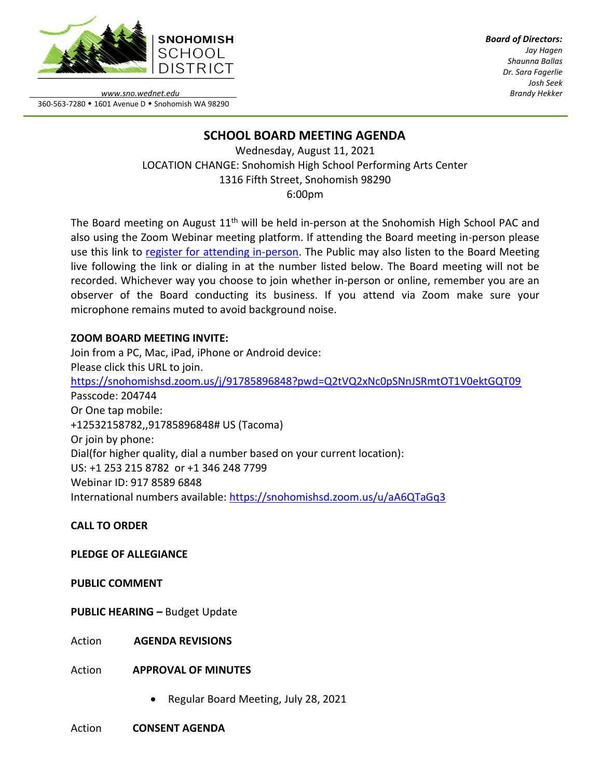

*Board of Directors: Jay Hagen Shaunna Ballas Dr. Sara Fagerlie Josh Seek Brandy Hekker*

*www.sno.wednet.edu* 360-563-7280 • 1601 Avenue D • Snohomish WA 98290

# **SCHOOL BOARD MEETING AGENDA**

Wednesday, August 11, 2021 LOCATION CHANGE: Snohomish High School Performing Arts Center 1316 Fifth Street, Snohomish 98290 6:00pm

The Board meeting on August 11<sup>th</sup> will be held in-person at the Snohomish High School PAC and also using the Zoom Webinar meeting platform. If attending the Board meeting in-person please use this link to [register for attending in-person.](https://www.sno.wednet.edu/site/Default.aspx?PageID=5004) The Public may also listen to the Board Meeting live following the link or dialing in at the number listed below. The Board meeting will not be recorded. Whichever way you choose to join whether in-person or online, remember you are an observer of the Board conducting its business. If you attend via Zoom make sure your microphone remains muted to avoid background noise.

## **ZOOM BOARD MEETING INVITE:**

Join from a PC, Mac, iPad, iPhone or Android device: Please click this URL to join. <https://snohomishsd.zoom.us/j/91785896848?pwd=Q2tVQ2xNc0pSNnJSRmtOT1V0ektGQT09> Passcode: 204744 Or One tap mobile: +12532158782,,91785896848# US (Tacoma) Or join by phone: Dial(for higher quality, dial a number based on your current location): US: +1 253 215 8782 or +1 346 248 7799 Webinar ID: 917 8589 6848 International numbers available:<https://snohomishsd.zoom.us/u/aA6QTaGq3>

## **CALL TO ORDER**

## **PLEDGE OF ALLEGIANCE**

## **PUBLIC COMMENT**

**PUBLIC HEARING –** Budget Update

Action **AGENDA REVISIONS**

Action **APPROVAL OF MINUTES**

• Regular Board Meeting, July 28, 2021

#### Action **CONSENT AGENDA**